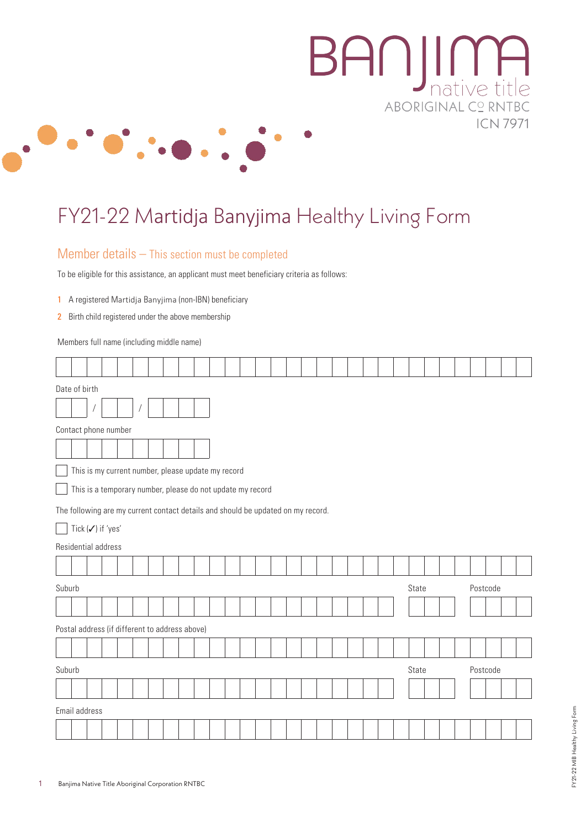

# FY21-22 Martidja Banyjima Healthy Living Form

#### Member details – This section must be completed

To be eligible for this assistance, an applicant must meet beneficiary criteria as follows:

- 1 A registered Martidja Banyjima (non-IBN) beneficiary
- 2 Birth child registered under the above membership

 $\top$ ┯ ℸ Τ ℸ

Members full name (including middle name)  $\top$ 

 $\Gamma$ 

 $\top$  $\overline{\phantom{a}}$ ┱ ⊤

| Date of birth                                                                    |                |                                                            |  |  |  |  |  |  |  |  |  |  |       |  |  |          |       |  |  |          |  |  |  |
|----------------------------------------------------------------------------------|----------------|------------------------------------------------------------|--|--|--|--|--|--|--|--|--|--|-------|--|--|----------|-------|--|--|----------|--|--|--|
|                                                                                  | $\overline{1}$ |                                                            |  |  |  |  |  |  |  |  |  |  |       |  |  |          |       |  |  |          |  |  |  |
| Contact phone number                                                             |                |                                                            |  |  |  |  |  |  |  |  |  |  |       |  |  |          |       |  |  |          |  |  |  |
|                                                                                  |                |                                                            |  |  |  |  |  |  |  |  |  |  |       |  |  |          |       |  |  |          |  |  |  |
| This is my current number, please update my record                               |                |                                                            |  |  |  |  |  |  |  |  |  |  |       |  |  |          |       |  |  |          |  |  |  |
|                                                                                  |                | This is a temporary number, please do not update my record |  |  |  |  |  |  |  |  |  |  |       |  |  |          |       |  |  |          |  |  |  |
| The following are my current contact details and should be updated on my record. |                |                                                            |  |  |  |  |  |  |  |  |  |  |       |  |  |          |       |  |  |          |  |  |  |
|                                                                                  |                | Tick $(\checkmark)$ if 'yes'                               |  |  |  |  |  |  |  |  |  |  |       |  |  |          |       |  |  |          |  |  |  |
| Residential address                                                              |                |                                                            |  |  |  |  |  |  |  |  |  |  |       |  |  |          |       |  |  |          |  |  |  |
|                                                                                  |                |                                                            |  |  |  |  |  |  |  |  |  |  |       |  |  |          |       |  |  |          |  |  |  |
| Suburb                                                                           |                |                                                            |  |  |  |  |  |  |  |  |  |  |       |  |  |          | State |  |  | Postcode |  |  |  |
|                                                                                  |                |                                                            |  |  |  |  |  |  |  |  |  |  |       |  |  |          |       |  |  |          |  |  |  |
| Postal address (if different to address above)                                   |                |                                                            |  |  |  |  |  |  |  |  |  |  |       |  |  |          |       |  |  |          |  |  |  |
|                                                                                  |                |                                                            |  |  |  |  |  |  |  |  |  |  |       |  |  |          |       |  |  |          |  |  |  |
| Suburb                                                                           |                |                                                            |  |  |  |  |  |  |  |  |  |  | State |  |  | Postcode |       |  |  |          |  |  |  |
|                                                                                  |                |                                                            |  |  |  |  |  |  |  |  |  |  |       |  |  |          |       |  |  |          |  |  |  |
| Email address                                                                    |                |                                                            |  |  |  |  |  |  |  |  |  |  |       |  |  |          |       |  |  |          |  |  |  |
|                                                                                  |                |                                                            |  |  |  |  |  |  |  |  |  |  |       |  |  |          |       |  |  |          |  |  |  |

**ICN 7971** 

┑

┱

┑